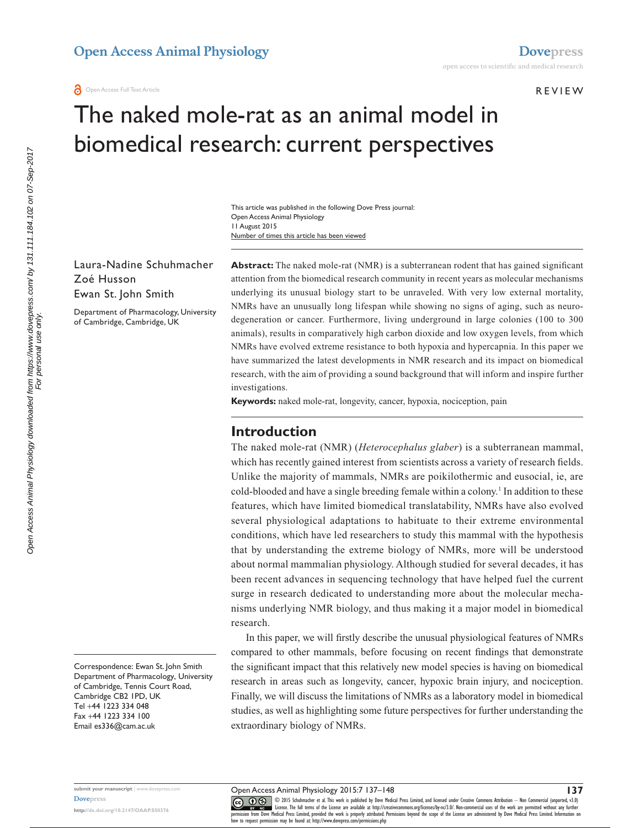#### Review

# The naked mole-rat as an animal model in biomedical research: current perspectives

Number of times this article has been viewed This article was published in the following Dove Press journal: Open Access Animal Physiology 11 August 2015

Laura-Nadine Schuhmacher Zoé Husson Ewan St. John Smith

Department of Pharmacology, University of Cambridge, Cambridge, UK

**Abstract:** The naked mole-rat (NMR) is a subterranean rodent that has gained significant attention from the biomedical research community in recent years as molecular mechanisms underlying its unusual biology start to be unraveled. With very low external mortality, NMRs have an unusually long lifespan while showing no signs of aging, such as neurodegeneration or cancer. Furthermore, living underground in large colonies (100 to 300 animals), results in comparatively high carbon dioxide and low oxygen levels, from which NMRs have evolved extreme resistance to both hypoxia and hypercapnia. In this paper we have summarized the latest developments in NMR research and its impact on biomedical research, with the aim of providing a sound background that will inform and inspire further investigations.

**Keywords:** naked mole-rat, longevity, cancer, hypoxia, nociception, pain

#### **Introduction**

The naked mole-rat (NMR) (*Heterocephalus glaber*) is a subterranean mammal, which has recently gained interest from scientists across a variety of research fields. Unlike the majority of mammals, NMRs are poikilothermic and eusocial, ie, are cold-blooded and have a single breeding female within a colony.<sup>1</sup> In addition to these features, which have limited biomedical translatability, NMRs have also evolved several physiological adaptations to habituate to their extreme environmental conditions, which have led researchers to study this mammal with the hypothesis that by understanding the extreme biology of NMRs, more will be understood about normal mammalian physiology. Although studied for several decades, it has been recent advances in sequencing technology that have helped fuel the current surge in research dedicated to understanding more about the molecular mechanisms underlying NMR biology, and thus making it a major model in biomedical research.

In this paper, we will firstly describe the unusual physiological features of NMRs compared to other mammals, before focusing on recent findings that demonstrate the significant impact that this relatively new model species is having on biomedical research in areas such as longevity, cancer, hypoxic brain injury, and nociception. Finally, we will discuss the limitations of NMRs as a laboratory model in biomedical studies, as well as highlighting some future perspectives for further understanding the extraordinary biology of NMRs.

For personal use only.

**submit your manuscript** | <www.dovepress.com> **[Dovepress](www.dovepress.com)**

**<http://dx.doi.org/10.2147/OAAP.S50376>**

Open Access Animal Physiology 2015:7 137–148

CO ODIS Schuhmacher et al. This work is published by Dove Medical Press Limited, and licensed under Creative Commons Attribution - Non Commercial (unported, v3.0)<br> [permission from Dove M](http://www.dovepress.com/permissions.php)edical Press Limited, provided the w

**137**

how to request permission may be found at:<http://www.dovepress.com/permissions.php>

Correspondence: Ewan St. John Smith Department of Pharmacology, University of Cambridge, Tennis Court Road, Cambridge CB2 1PD, UK Tel +44 1223 334 048 Fax +44 1223 334 100 Email [es336@cam.ac.uk](mailto:es336@cam.ac.uk)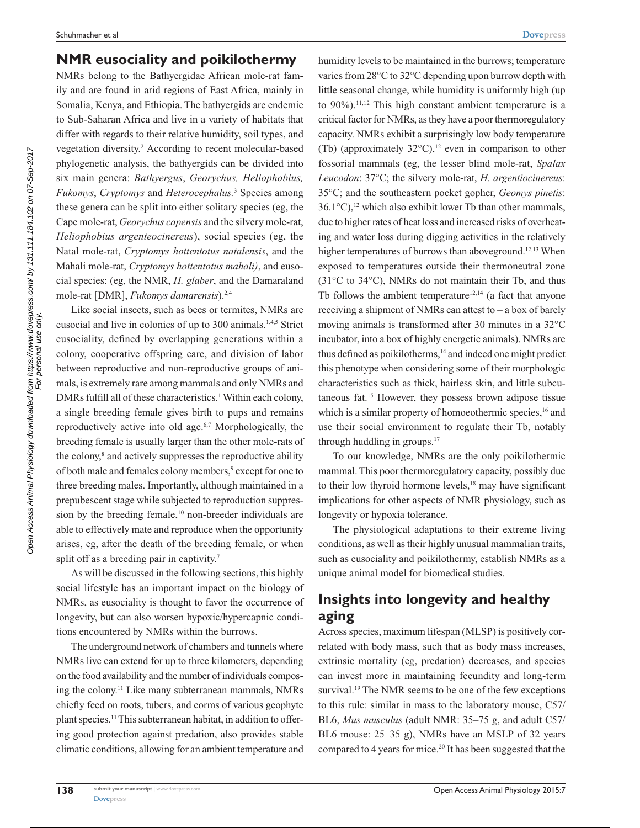#### **NMR eusociality and poikilothermy**

NMRs belong to the Bathyergidae African mole-rat family and are found in arid regions of East Africa, mainly in Somalia, Kenya, and Ethiopia. The bathyergids are endemic to Sub-Saharan Africa and live in a variety of habitats that differ with regards to their relative humidity, soil types, and vegetation diversity.2 According to recent molecular-based phylogenetic analysis, the bathyergids can be divided into six main genera: *Bathyergus*, *Georychus, Heliophobius, Fukomys*, *Cryptomys* and *Heterocephalus.*<sup>3</sup> Species among these genera can be split into either solitary species (eg, the Cape mole-rat, *Georychus capensis* and the silvery mole-rat, *Heliophobius argenteocinereus*), social species (eg, the Natal mole-rat, *Cryptomys hottentotus natalensis*, and the Mahali mole-rat, *Cryptomys hottentotus mahali)*, and eusocial species: (eg, the NMR, *H. glaber*, and the Damaraland mole-rat [DMR], *Fukomys damarensis*).2,4

Like social insects, such as bees or termites, NMRs are eusocial and live in colonies of up to 300 animals.1,4,5 Strict eusociality, defined by overlapping generations within a colony, cooperative offspring care, and division of labor between reproductive and non-reproductive groups of animals, is extremely rare among mammals and only NMRs and DMRs fulfill all of these characteristics.<sup>1</sup> Within each colony, a single breeding female gives birth to pups and remains reproductively active into old age.<sup>6,7</sup> Morphologically, the breeding female is usually larger than the other mole-rats of the colony,<sup>8</sup> and actively suppresses the reproductive ability of both male and females colony members,<sup>9</sup> except for one to three breeding males. Importantly, although maintained in a prepubescent stage while subjected to reproduction suppression by the breeding female,<sup>10</sup> non-breeder individuals are able to effectively mate and reproduce when the opportunity arises, eg, after the death of the breeding female, or when split off as a breeding pair in captivity.<sup>7</sup>

As will be discussed in the following sections, this highly social lifestyle has an important impact on the biology of NMRs, as eusociality is thought to favor the occurrence of longevity, but can also worsen hypoxic/hypercapnic conditions encountered by NMRs within the burrows.

The underground network of chambers and tunnels where NMRs live can extend for up to three kilometers, depending on the food availability and the number of individuals composing the colony.<sup>11</sup> Like many subterranean mammals, NMRs chiefly feed on roots, tubers, and corms of various geophyte plant species.11 This subterranean habitat, in addition to offering good protection against predation, also provides stable climatic conditions, allowing for an ambient temperature and humidity levels to be maintained in the burrows; temperature varies from 28°C to 32°C depending upon burrow depth with little seasonal change, while humidity is uniformly high (up to 90%).11,12 This high constant ambient temperature is a critical factor for NMRs, as they have a poor thermoregulatory capacity. NMRs exhibit a surprisingly low body temperature (Tb) (approximately  $32^{\circ}$ C),<sup>12</sup> even in comparison to other fossorial mammals (eg, the lesser blind mole-rat, *Spalax Leucodon*: 37°C; the silvery mole-rat, *H. argentiocinereus*: 35°C; and the southeastern pocket gopher, *Geomys pinetis*: 36.1 $^{\circ}$ C),<sup>12</sup> which also exhibit lower Tb than other mammals, due to higher rates of heat loss and increased risks of overheating and water loss during digging activities in the relatively higher temperatures of burrows than aboveground.<sup>12,13</sup> When exposed to temperatures outside their thermoneutral zone (31°C to 34°C), NMRs do not maintain their Tb, and thus Tb follows the ambient temperature<sup>12,14</sup> (a fact that anyone receiving a shipment of NMRs can attest to – a box of barely moving animals is transformed after 30 minutes in a 32°C incubator, into a box of highly energetic animals). NMRs are thus defined as poikilotherms,<sup>14</sup> and indeed one might predict this phenotype when considering some of their morphologic characteristics such as thick, hairless skin, and little subcutaneous fat.15 However, they possess brown adipose tissue which is a similar property of homoeothermic species,<sup>16</sup> and use their social environment to regulate their Tb, notably through huddling in groups.17

To our knowledge, NMRs are the only poikilothermic mammal. This poor thermoregulatory capacity, possibly due to their low thyroid hormone levels,<sup>18</sup> may have significant implications for other aspects of NMR physiology, such as longevity or hypoxia tolerance.

The physiological adaptations to their extreme living conditions, as well as their highly unusual mammalian traits, such as eusociality and poikilothermy, establish NMRs as a unique animal model for biomedical studies.

# **Insights into longevity and healthy aging**

Across species, maximum lifespan (MLSP) is positively correlated with body mass, such that as body mass increases, extrinsic mortality (eg, predation) decreases, and species can invest more in maintaining fecundity and long-term survival.<sup>19</sup> The NMR seems to be one of the few exceptions to this rule: similar in mass to the laboratory mouse, C57/ BL6, *Mus musculus* (adult NMR: 35–75 g, and adult C57/ BL6 mouse: 25–35 g), NMRs have an MSLP of 32 years compared to 4 years for mice.<sup>20</sup> It has been suggested that the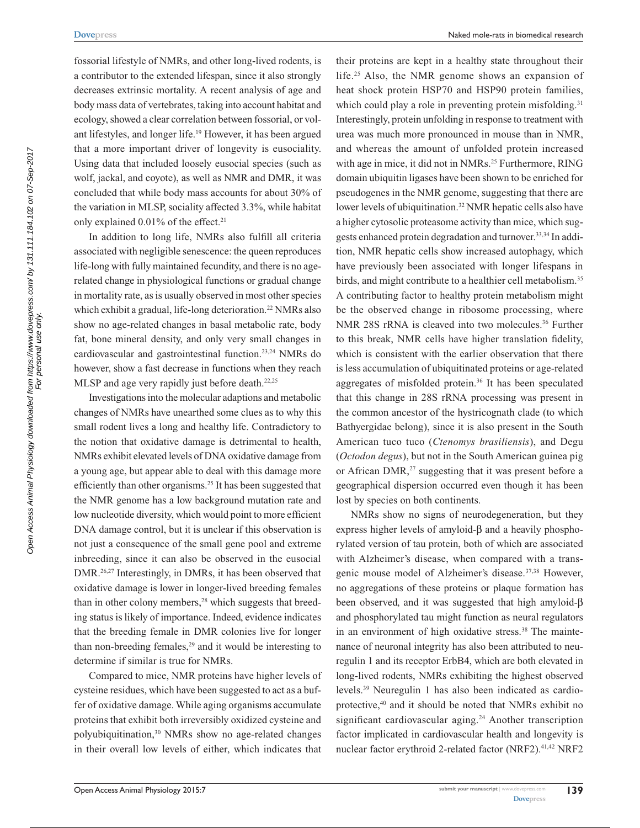fossorial lifestyle of NMRs, and other long-lived rodents, is a contributor to the extended lifespan, since it also strongly decreases extrinsic mortality. A recent analysis of age and body mass data of vertebrates, taking into account habitat and ecology, showed a clear correlation between fossorial, or volant lifestyles, and longer life.19 However, it has been argued that a more important driver of longevity is eusociality. Using data that included loosely eusocial species (such as wolf, jackal, and coyote), as well as NMR and DMR, it was concluded that while body mass accounts for about 30% of the variation in MLSP, sociality affected 3.3%, while habitat only explained  $0.01\%$  of the effect.<sup>21</sup>

In addition to long life, NMRs also fulfill all criteria associated with negligible senescence: the queen reproduces life-long with fully maintained fecundity, and there is no agerelated change in physiological functions or gradual change in mortality rate, as is usually observed in most other species which exhibit a gradual, life-long deterioration.<sup>22</sup> NMRs also show no age-related changes in basal metabolic rate, body fat, bone mineral density, and only very small changes in cardiovascular and gastrointestinal function.23,24 NMRs do however, show a fast decrease in functions when they reach MLSP and age very rapidly just before death.<sup>22,25</sup>

Investigations into the molecular adaptions and metabolic changes of NMRs have unearthed some clues as to why this small rodent lives a long and healthy life. Contradictory to the notion that oxidative damage is detrimental to health, NMRs exhibit elevated levels of DNA oxidative damage from a young age, but appear able to deal with this damage more efficiently than other organisms.<sup>25</sup> It has been suggested that the NMR genome has a low background mutation rate and low nucleotide diversity, which would point to more efficient DNA damage control, but it is unclear if this observation is not just a consequence of the small gene pool and extreme inbreeding, since it can also be observed in the eusocial DMR.26,27 Interestingly, in DMRs, it has been observed that oxidative damage is lower in longer-lived breeding females than in other colony members,<sup>28</sup> which suggests that breeding status is likely of importance. Indeed, evidence indicates that the breeding female in DMR colonies live for longer than non-breeding females,<sup>29</sup> and it would be interesting to determine if similar is true for NMRs.

Compared to mice, NMR proteins have higher levels of cysteine residues, which have been suggested to act as a buffer of oxidative damage. While aging organisms accumulate proteins that exhibit both irreversibly oxidized cysteine and polyubiquitination,30 NMRs show no age-related changes in their overall low levels of either, which indicates that their proteins are kept in a healthy state throughout their life.25 Also, the NMR genome shows an expansion of heat shock protein HSP70 and HSP90 protein families, which could play a role in preventing protein misfolding.<sup>31</sup> Interestingly, protein unfolding in response to treatment with urea was much more pronounced in mouse than in NMR, and whereas the amount of unfolded protein increased with age in mice, it did not in NMRs.<sup>25</sup> Furthermore, RING domain ubiquitin ligases have been shown to be enriched for pseudogenes in the NMR genome, suggesting that there are lower levels of ubiquitination.<sup>32</sup> NMR hepatic cells also have a higher cytosolic proteasome activity than mice, which suggests enhanced protein degradation and turnover.33,34 In addition, NMR hepatic cells show increased autophagy, which have previously been associated with longer lifespans in birds, and might contribute to a healthier cell metabolism.<sup>35</sup> A contributing factor to healthy protein metabolism might be the observed change in ribosome processing, where NMR 28S rRNA is cleaved into two molecules.<sup>36</sup> Further to this break, NMR cells have higher translation fidelity, which is consistent with the earlier observation that there is less accumulation of ubiquitinated proteins or age-related aggregates of misfolded protein.<sup>36</sup> It has been speculated that this change in 28S rRNA processing was present in the common ancestor of the hystricognath clade (to which Bathyergidae belong), since it is also present in the South American tuco tuco (*Ctenomys brasiliensis*), and Degu (*Octodon degus*), but not in the South American guinea pig or African DMR,<sup>27</sup> suggesting that it was present before a geographical dispersion occurred even though it has been lost by species on both continents.

NMRs show no signs of neurodegeneration, but they express higher levels of amyloid-β and a heavily phosphorylated version of tau protein, both of which are associated with Alzheimer's disease, when compared with a transgenic mouse model of Alzheimer's disease.37,38 However, no aggregations of these proteins or plaque formation has been observed, and it was suggested that high amyloid-β and phosphorylated tau might function as neural regulators in an environment of high oxidative stress.<sup>38</sup> The maintenance of neuronal integrity has also been attributed to neuregulin 1 and its receptor ErbB4, which are both elevated in long-lived rodents, NMRs exhibiting the highest observed levels.39 Neuregulin 1 has also been indicated as cardioprotective,40 and it should be noted that NMRs exhibit no significant cardiovascular aging.<sup>24</sup> Another transcription factor implicated in cardiovascular health and longevity is nuclear factor erythroid 2-related factor (NRF2).<sup>41,42</sup> NRF2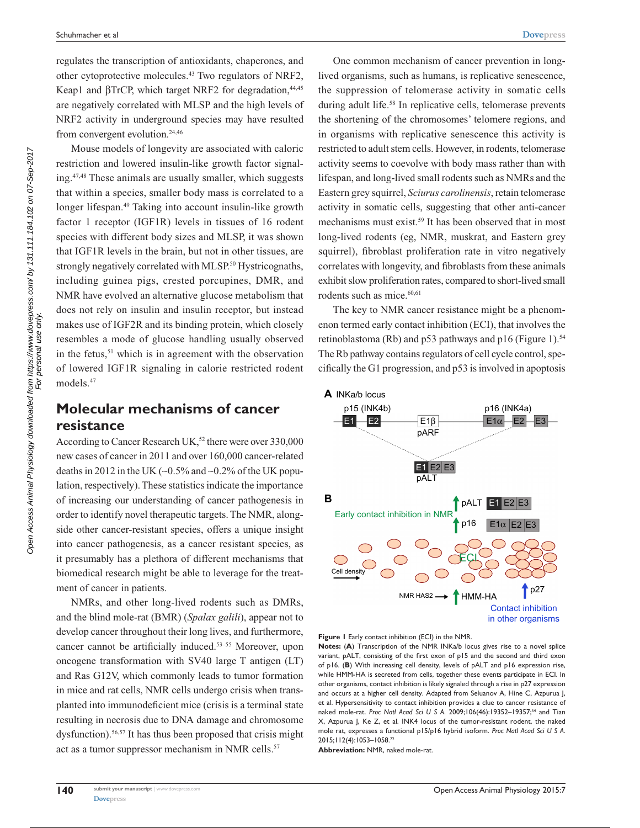regulates the transcription of antioxidants, chaperones, and other cytoprotective molecules.43 Two regulators of NRF2, Keap1 and βTrCP, which target NRF2 for degradation,<sup>44,45</sup> are negatively correlated with MLSP and the high levels of NRF2 activity in underground species may have resulted from convergent evolution.<sup>24,46</sup>

Mouse models of longevity are associated with caloric restriction and lowered insulin-like growth factor signaling.47,48 These animals are usually smaller, which suggests that within a species, smaller body mass is correlated to a longer lifespan.49 Taking into account insulin-like growth factor 1 receptor (IGF1R) levels in tissues of 16 rodent species with different body sizes and MLSP, it was shown that IGF1R levels in the brain, but not in other tissues, are strongly negatively correlated with MLSP.<sup>50</sup> Hystricognaths, including guinea pigs, crested porcupines, DMR, and NMR have evolved an alternative glucose metabolism that does not rely on insulin and insulin receptor, but instead makes use of IGF2R and its binding protein, which closely resembles a mode of glucose handling usually observed in the fetus, $51$  which is in agreement with the observation of lowered IGF1R signaling in calorie restricted rodent models.47

# **Molecular mechanisms of cancer resistance**

According to Cancer Research UK,<sup>52</sup> there were over 330,000 new cases of cancer in 2011 and over 160,000 cancer-related deaths in 2012 in the UK (∼0.5% and ∼0.2% of the UK population, respectively). These statistics indicate the importance of increasing our understanding of cancer pathogenesis in order to identify novel therapeutic targets. The NMR, alongside other cancer-resistant species, offers a unique insight into cancer pathogenesis, as a cancer resistant species, as it presumably has a plethora of different mechanisms that biomedical research might be able to leverage for the treatment of cancer in patients.

NMRs, and other long-lived rodents such as DMRs, and the blind mole-rat (BMR) (*Spalax galili*), appear not to develop cancer throughout their long lives, and furthermore, cancer cannot be artificially induced.53–55 Moreover, upon oncogene transformation with SV40 large T antigen (LT) and Ras G12V, which commonly leads to tumor formation in mice and rat cells, NMR cells undergo crisis when transplanted into immunodeficient mice (crisis is a terminal state resulting in necrosis due to DNA damage and chromosome dysfunction).56,57 It has thus been proposed that crisis might act as a tumor suppressor mechanism in NMR cells.<sup>57</sup>

One common mechanism of cancer prevention in longlived organisms, such as humans, is replicative senescence, the suppression of telomerase activity in somatic cells during adult life.<sup>58</sup> In replicative cells, telomerase prevents the shortening of the chromosomes' telomere regions, and in organisms with replicative senescence this activity is restricted to adult stem cells. However, in rodents, telomerase activity seems to coevolve with body mass rather than with lifespan, and long-lived small rodents such as NMRs and the Eastern grey squirrel, *Sciurus carolinensis*, retain telomerase activity in somatic cells, suggesting that other anti-cancer mechanisms must exist.<sup>59</sup> It has been observed that in most long-lived rodents (eg, NMR, muskrat, and Eastern grey squirrel), fibroblast proliferation rate in vitro negatively correlates with longevity, and fibroblasts from these animals exhibit slow proliferation rates, compared to short-lived small rodents such as mice.<sup>60,61</sup>

The key to NMR cancer resistance might be a phenomenon termed early contact inhibition (ECI), that involves the retinoblastoma (Rb) and p53 pathways and p16 (Figure 1).<sup>54</sup> The Rb pathway contains regulators of cell cycle control, specifically the G1 progression, and p53 is involved in apoptosis



**Figure 1** Early contact inhibition (ECI) in the NMR.

**Notes:** (**A**) Transcription of the NMR INKa/b locus gives rise to a novel splice variant, pALT, consisting of the first exon of p15 and the second and third exon of p16. (**B**) With increasing cell density, levels of pALT and p16 expression rise, while HMM-HA is secreted from cells, together these events participate in ECI. In other organisms, contact inhibition is likely signaled through a rise in p27 expression and occurs at a higher cell density. Adapted from Seluanov A, Hine C, Azpurua J, et al. Hypersensitivity to contact inhibition provides a clue to cancer resistance of naked mole-rat. *Proc Natl Acad Sci U S A*. 2009;106(46):19352–19357;54 and Tian X, Azpurua J, Ke Z, et al. INK4 locus of the tumor-resistant rodent, the naked mole rat, expresses a functional p15/p16 hybrid isoform. *Proc Natl Acad Sci U S A*. 2015;112(4):1053–1058.72

**Abbreviation:** NMR, naked mole-rat.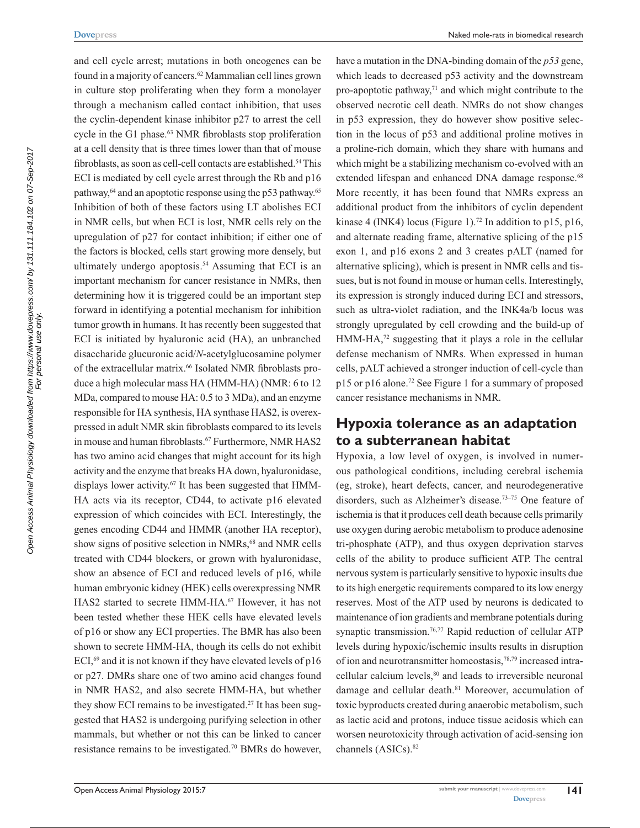and cell cycle arrest; mutations in both oncogenes can be found in a majority of cancers.62 Mammalian cell lines grown in culture stop proliferating when they form a monolayer through a mechanism called contact inhibition, that uses the cyclin-dependent kinase inhibitor p27 to arrest the cell cycle in the G1 phase.<sup>63</sup> NMR fibroblasts stop proliferation at a cell density that is three times lower than that of mouse fibroblasts, as soon as cell-cell contacts are established.<sup>54</sup> This ECI is mediated by cell cycle arrest through the Rb and p16 pathway,<sup>64</sup> and an apoptotic response using the p53 pathway.<sup>65</sup> Inhibition of both of these factors using LT abolishes ECI in NMR cells, but when ECI is lost, NMR cells rely on the upregulation of p27 for contact inhibition; if either one of the factors is blocked, cells start growing more densely, but ultimately undergo apoptosis.<sup>54</sup> Assuming that ECI is an important mechanism for cancer resistance in NMRs, then determining how it is triggered could be an important step forward in identifying a potential mechanism for inhibition tumor growth in humans. It has recently been suggested that ECI is initiated by hyaluronic acid (HA), an unbranched disaccharide glucuronic acid/*N*-acetylglucosamine polymer of the extracellular matrix.<sup>66</sup> Isolated NMR fibroblasts produce a high molecular mass HA (HMM-HA) (NMR: 6 to 12 MDa, compared to mouse HA: 0.5 to 3 MDa), and an enzyme responsible for HA synthesis, HA synthase HAS2, is overexpressed in adult NMR skin fibroblasts compared to its levels in mouse and human fibroblasts.<sup>67</sup> Furthermore, NMR HAS2 has two amino acid changes that might account for its high activity and the enzyme that breaks HA down, hyaluronidase, displays lower activity.<sup>67</sup> It has been suggested that HMM-HA acts via its receptor, CD44, to activate p16 elevated expression of which coincides with ECI. Interestingly, the genes encoding CD44 and HMMR (another HA receptor), show signs of positive selection in NMRs,<sup>68</sup> and NMR cells treated with CD44 blockers, or grown with hyaluronidase, show an absence of ECI and reduced levels of p16, while human embryonic kidney (HEK) cells overexpressing NMR HAS2 started to secrete HMM-HA.<sup>67</sup> However, it has not been tested whether these HEK cells have elevated levels of p16 or show any ECI properties. The BMR has also been shown to secrete HMM-HA, though its cells do not exhibit ECI, $69$  and it is not known if they have elevated levels of p16 or p27. DMRs share one of two amino acid changes found in NMR HAS2, and also secrete HMM-HA, but whether they show ECI remains to be investigated.<sup>27</sup> It has been suggested that HAS2 is undergoing purifying selection in other mammals, but whether or not this can be linked to cancer resistance remains to be investigated.70 BMRs do however,

have a mutation in the DNA-binding domain of the *p53* gene, which leads to decreased p53 activity and the downstream pro-apoptotic pathway, $71$  and which might contribute to the observed necrotic cell death. NMRs do not show changes in p53 expression, they do however show positive selection in the locus of p53 and additional proline motives in a proline-rich domain, which they share with humans and which might be a stabilizing mechanism co-evolved with an extended lifespan and enhanced DNA damage response.<sup>68</sup> More recently, it has been found that NMRs express an additional product from the inhibitors of cyclin dependent kinase 4 (INK4) locus (Figure 1).<sup>72</sup> In addition to p15, p16, and alternate reading frame, alternative splicing of the p15 exon 1, and p16 exons 2 and 3 creates pALT (named for alternative splicing), which is present in NMR cells and tissues, but is not found in mouse or human cells. Interestingly, its expression is strongly induced during ECI and stressors, such as ultra-violet radiation, and the INK4a/b locus was strongly upregulated by cell crowding and the build-up of HMM-HA,<sup>72</sup> suggesting that it plays a role in the cellular defense mechanism of NMRs. When expressed in human cells, pALT achieved a stronger induction of cell-cycle than p15 or p16 alone.72 See Figure 1 for a summary of proposed cancer resistance mechanisms in NMR.

# **Hypoxia tolerance as an adaptation to a subterranean habitat**

Hypoxia, a low level of oxygen, is involved in numerous pathological conditions, including cerebral ischemia (eg, stroke), heart defects, cancer, and neurodegenerative disorders, such as Alzheimer's disease.73–75 One feature of ischemia is that it produces cell death because cells primarily use oxygen during aerobic metabolism to produce adenosine tri-phosphate (ATP), and thus oxygen deprivation starves cells of the ability to produce sufficient ATP. The central nervous system is particularly sensitive to hypoxic insults due to its high energetic requirements compared to its low energy reserves. Most of the ATP used by neurons is dedicated to maintenance of ion gradients and membrane potentials during synaptic transmission.<sup>76,77</sup> Rapid reduction of cellular ATP levels during hypoxic/ischemic insults results in disruption of ion and neurotransmitter homeostasis,78,79 increased intracellular calcium levels,<sup>80</sup> and leads to irreversible neuronal damage and cellular death.<sup>81</sup> Moreover, accumulation of toxic byproducts created during anaerobic metabolism, such as lactic acid and protons, induce tissue acidosis which can worsen neurotoxicity through activation of acid-sensing ion channels (ASICs).<sup>82</sup>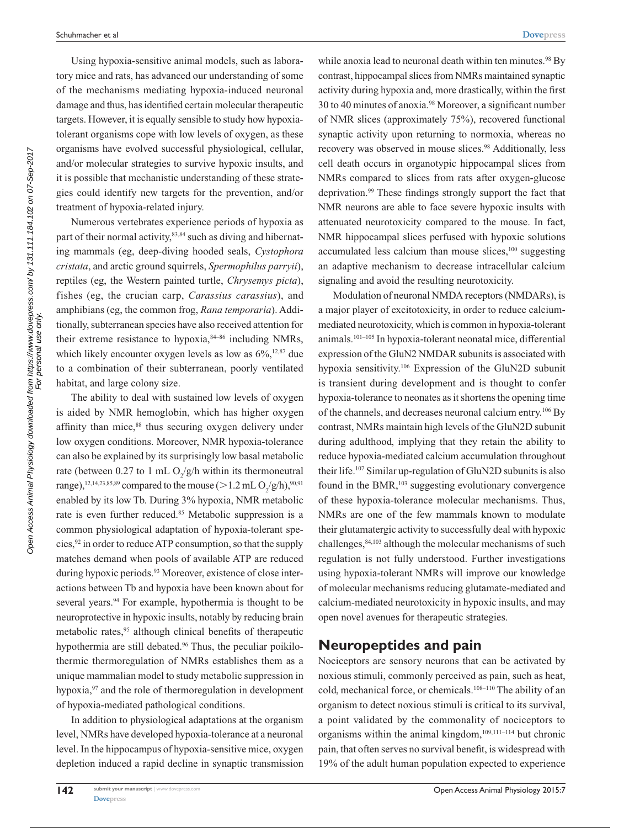Using hypoxia-sensitive animal models, such as laboratory mice and rats, has advanced our understanding of some of the mechanisms mediating hypoxia-induced neuronal damage and thus, has identified certain molecular therapeutic targets. However, it is equally sensible to study how hypoxiatolerant organisms cope with low levels of oxygen, as these organisms have evolved successful physiological, cellular, and/or molecular strategies to survive hypoxic insults, and it is possible that mechanistic understanding of these strategies could identify new targets for the prevention, and/or treatment of hypoxia-related injury.

Numerous vertebrates experience periods of hypoxia as part of their normal activity,<sup>83,84</sup> such as diving and hibernating mammals (eg, deep-diving hooded seals, *Cystophora cristata*, and arctic ground squirrels, *Spermophilus parryii*), reptiles (eg, the Western painted turtle, *Chrysemys picta*), fishes (eg, the crucian carp, *Carassius carassius*), and amphibians (eg, the common frog, *Rana temporaria*). Additionally, subterranean species have also received attention for their extreme resistance to hypoxia, $84-86$  including NMRs, which likely encounter oxygen levels as low as  $6\%,^{12,87}$  due to a combination of their subterranean, poorly ventilated habitat, and large colony size.

The ability to deal with sustained low levels of oxygen is aided by NMR hemoglobin, which has higher oxygen affinity than mice,<sup>88</sup> thus securing oxygen delivery under low oxygen conditions. Moreover, NMR hypoxia-tolerance can also be explained by its surprisingly low basal metabolic rate (between 0.27 to 1 mL  $O_2/g/h$  within its thermoneutral range),<sup>12,14,23,85,89</sup> compared to the mouse ( $>$  1.2 mL  $O_2/g/h$ ),<sup>90,91</sup> enabled by its low Tb. During 3% hypoxia, NMR metabolic rate is even further reduced.<sup>85</sup> Metabolic suppression is a common physiological adaptation of hypoxia-tolerant species,  $92$  in order to reduce ATP consumption, so that the supply matches demand when pools of available ATP are reduced during hypoxic periods.<sup>93</sup> Moreover, existence of close interactions between Tb and hypoxia have been known about for several years.<sup>94</sup> For example, hypothermia is thought to be neuroprotective in hypoxic insults, notably by reducing brain metabolic rates,<sup>95</sup> although clinical benefits of therapeutic hypothermia are still debated.<sup>96</sup> Thus, the peculiar poikilothermic thermoregulation of NMRs establishes them as a unique mammalian model to study metabolic suppression in hypoxia,<sup>97</sup> and the role of thermoregulation in development of hypoxia-mediated pathological conditions.

In addition to physiological adaptations at the organism level, NMRs have developed hypoxia-tolerance at a neuronal level. In the hippocampus of hypoxia-sensitive mice, oxygen depletion induced a rapid decline in synaptic transmission

while anoxia lead to neuronal death within ten minutes.<sup>98</sup> By contrast, hippocampal slices from NMRs maintained synaptic activity during hypoxia and, more drastically, within the first 30 to 40 minutes of anoxia.98 Moreover, a significant number of NMR slices (approximately 75%), recovered functional synaptic activity upon returning to normoxia, whereas no recovery was observed in mouse slices.<sup>98</sup> Additionally, less cell death occurs in organotypic hippocampal slices from NMRs compared to slices from rats after oxygen-glucose deprivation.99 These findings strongly support the fact that NMR neurons are able to face severe hypoxic insults with attenuated neurotoxicity compared to the mouse. In fact, NMR hippocampal slices perfused with hypoxic solutions accumulated less calcium than mouse slices,<sup>100</sup> suggesting an adaptive mechanism to decrease intracellular calcium signaling and avoid the resulting neurotoxicity.

Modulation of neuronal NMDA receptors (NMDARs), is a major player of excitotoxicity, in order to reduce calciummediated neurotoxicity, which is common in hypoxia-tolerant animals.101–105 In hypoxia-tolerant neonatal mice, differential expression of the GluN2 NMDAR subunits is associated with hypoxia sensitivity.106 Expression of the GluN2D subunit is transient during development and is thought to confer hypoxia-tolerance to neonates as it shortens the opening time of the channels, and decreases neuronal calcium entry.106 By contrast, NMRs maintain high levels of the GluN2D subunit during adulthood, implying that they retain the ability to reduce hypoxia-mediated calcium accumulation throughout their life.107 Similar up-regulation of GluN2D subunits is also found in the BMR,<sup>103</sup> suggesting evolutionary convergence of these hypoxia-tolerance molecular mechanisms. Thus, NMRs are one of the few mammals known to modulate their glutamatergic activity to successfully deal with hypoxic challenges,84,103 although the molecular mechanisms of such regulation is not fully understood. Further investigations using hypoxia-tolerant NMRs will improve our knowledge of molecular mechanisms reducing glutamate-mediated and calcium-mediated neurotoxicity in hypoxic insults, and may open novel avenues for therapeutic strategies.

#### **Neuropeptides and pain**

Nociceptors are sensory neurons that can be activated by noxious stimuli, commonly perceived as pain, such as heat, cold, mechanical force, or chemicals.108–110 The ability of an organism to detect noxious stimuli is critical to its survival, a point validated by the commonality of nociceptors to organisms within the animal kingdom, $109,111-114$  but chronic pain, that often serves no survival benefit, is widespread with 19% of the adult human population expected to experience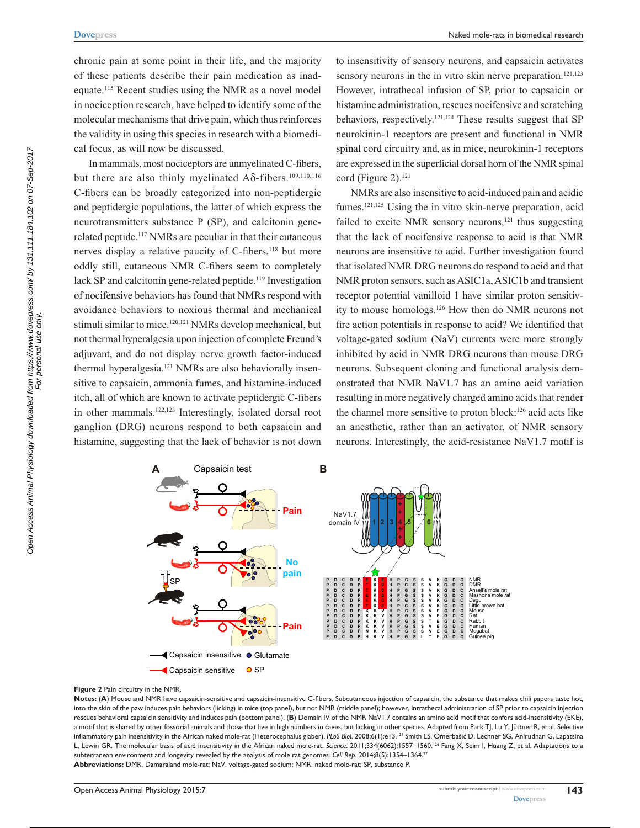chronic pain at some point in their life, and the majority of these patients describe their pain medication as inadequate.115 Recent studies using the NMR as a novel model in nociception research, have helped to identify some of the molecular mechanisms that drive pain, which thus reinforces the validity in using this species in research with a biomedical focus, as will now be discussed.

In mammals, most nociceptors are unmyelinated C-fibers, but there are also thinly myelinated  $A\delta$ -fibers.<sup>109,110,116</sup> C-fibers can be broadly categorized into non-peptidergic and peptidergic populations, the latter of which express the neurotransmitters substance P (SP), and calcitonin generelated peptide.117 NMRs are peculiar in that their cutaneous nerves display a relative paucity of C-fibers,<sup>118</sup> but more oddly still, cutaneous NMR C-fibers seem to completely lack SP and calcitonin gene-related peptide.<sup>119</sup> Investigation of nocifensive behaviors has found that NMRs respond with avoidance behaviors to noxious thermal and mechanical stimuli similar to mice.<sup>120,121</sup> NMRs develop mechanical, but not thermal hyperalgesia upon injection of complete Freund's adjuvant, and do not display nerve growth factor-induced thermal hyperalgesia.<sup>121</sup> NMRs are also behaviorally insensitive to capsaicin, ammonia fumes, and histamine-induced itch, all of which are known to activate peptidergic C-fibers in other mammals.122,123 Interestingly, isolated dorsal root ganglion (DRG) neurons respond to both capsaicin and histamine, suggesting that the lack of behavior is not down to insensitivity of sensory neurons, and capsaicin activates sensory neurons in the in vitro skin nerve preparation.<sup>121,123</sup> However, intrathecal infusion of SP, prior to capsaicin or histamine administration, rescues nocifensive and scratching behaviors, respectively.121,124 These results suggest that SP neurokinin-1 receptors are present and functional in NMR spinal cord circuitry and, as in mice, neurokinin-1 receptors are expressed in the superficial dorsal horn of the NMR spinal cord (Figure 2).<sup>121</sup>

NMRs are also insensitive to acid-induced pain and acidic fumes.<sup>121,125</sup> Using the in vitro skin-nerve preparation, acid failed to excite NMR sensory neurons, $121$  thus suggesting that the lack of nocifensive response to acid is that NMR neurons are insensitive to acid. Further investigation found that isolated NMR DRG neurons do respond to acid and that NMR proton sensors, such as ASIC1a, ASIC1b and transient receptor potential vanilloid 1 have similar proton sensitivity to mouse homologs.126 How then do NMR neurons not fire action potentials in response to acid? We identified that voltage-gated sodium (NaV) currents were more strongly inhibited by acid in NMR DRG neurons than mouse DRG neurons. Subsequent cloning and functional analysis demonstrated that NMR NaV1.7 has an amino acid variation resulting in more negatively charged amino acids that render the channel more sensitive to proton block:126 acid acts like an anesthetic, rather than an activator, of NMR sensory neurons. Interestingly, the acid-resistance NaV1.7 motif is



#### **Figure 2** Pain circuitry in the NMR.

**Notes:** (**A**) Mouse and NMR have capsaicin-sensitive and capsaicin-insensitive C-fibers. Subcutaneous injection of capsaicin, the substance that makes chili papers taste hot, into the skin of the paw induces pain behaviors (licking) in mice (top panel), but not NMR (middle panel); however, intrathecal administration of SP prior to capsaicin injection rescues behavioral capsaicin sensitivity and induces pain (bottom panel). (**B**) Domain IV of the NMR NaV1.7 contains an amino acid motif that confers acid-insensitivity (EKE), a motif that is shared by other fossorial animals and those that live in high numbers in caves, but lacking in other species. Adapted from Park TJ, Lu Y, Jüttner R, et al. Selective inflammatory pain insensitivity in the African naked mole-rat (Heterocephalus glaber). *PLoS Biol*. 2008;6(1):e13.121 Smith ES, Omerbašić D, Lechner SG, Anirudhan G, Lapatsina L, Lewin GR. The molecular basis of acid insensitivity in the African naked mole-rat. *Science*. 2011;334(6062):1557–1560.126 Fang X, Seim I, Huang Z, et al. Adaptations to a subterranean environment and longevity revealed by the analysis of mole rat genomes. *Cell Rep*. 2014;8(5):1354–1364.27 **Abbreviations:** DMR, Damaraland mole-rat; NaV, voltage-gated sodium; NMR, naked mole-rat; SP, substance P.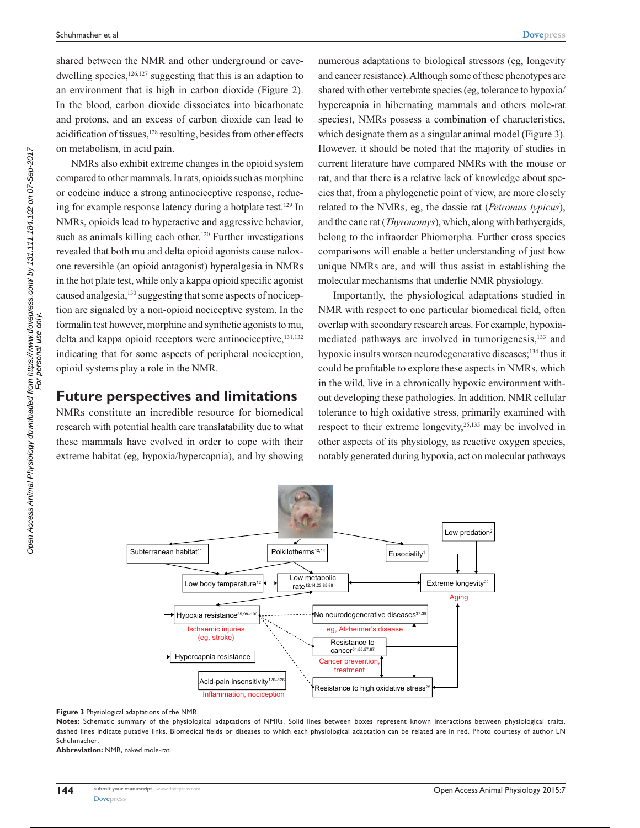shared between the NMR and other underground or cavedwelling species, $126,127$  suggesting that this is an adaption to an environment that is high in carbon dioxide (Figure 2). In the blood, carbon dioxide dissociates into bicarbonate and protons, and an excess of carbon dioxide can lead to acidification of tissues,128 resulting, besides from other effects on metabolism, in acid pain.

NMRs also exhibit extreme changes in the opioid system compared to other mammals. In rats, opioids such as morphine or codeine induce a strong antinociceptive response, reducing for example response latency during a hotplate test.129 In NMRs, opioids lead to hyperactive and aggressive behavior, such as animals killing each other.<sup>120</sup> Further investigations revealed that both mu and delta opioid agonists cause naloxone reversible (an opioid antagonist) hyperalgesia in NMRs in the hot plate test, while only a kappa opioid specific agonist caused analgesia,130 suggesting that some aspects of nociception are signaled by a non-opioid nociceptive system. In the formalin test however, morphine and synthetic agonists to mu, delta and kappa opioid receptors were antinociceptive,<sup>131,132</sup> indicating that for some aspects of peripheral nociception, opioid systems play a role in the NMR.

#### **Future perspectives and limitations**

NMRs constitute an incredible resource for biomedical research with potential health care translatability due to what these mammals have evolved in order to cope with their extreme habitat (eg, hypoxia/hypercapnia), and by showing

numerous adaptations to biological stressors (eg, longevity and cancer resistance). Although some of these phenotypes are shared with other vertebrate species (eg, tolerance to hypoxia/ hypercapnia in hibernating mammals and others mole-rat species), NMRs possess a combination of characteristics, which designate them as a singular animal model (Figure 3). However, it should be noted that the majority of studies in current literature have compared NMRs with the mouse or rat, and that there is a relative lack of knowledge about species that, from a phylogenetic point of view, are more closely related to the NMRs, eg, the dassie rat (*Petromus typicus*), and the cane rat (*Thyronomys*), which, along with bathyergids, belong to the infraorder Phiomorpha. Further cross species comparisons will enable a better understanding of just how unique NMRs are, and will thus assist in establishing the molecular mechanisms that underlie NMR physiology.

Importantly, the physiological adaptations studied in NMR with respect to one particular biomedical field, often overlap with secondary research areas. For example, hypoxiamediated pathways are involved in tumorigenesis,133 and hypoxic insults worsen neurodegenerative diseases;<sup>134</sup> thus it could be profitable to explore these aspects in NMRs, which in the wild, live in a chronically hypoxic environment without developing these pathologies. In addition, NMR cellular tolerance to high oxidative stress, primarily examined with respect to their extreme longevity,<sup>25,135</sup> may be involved in other aspects of its physiology, as reactive oxygen species, notably generated during hypoxia, act on molecular pathways



**Figure 3** Physiological adaptations of the NMR.

**Notes:** Schematic summary of the physiological adaptations of NMRs. Solid lines between boxes represent known interactions between physiological traits, dashed lines indicate putative links. Biomedical fields or diseases to which each physiological adaptation can be related are in red. Photo courtesy of author LN Schuhmacher.

**Abbreviation:** NMR, naked mole-rat.

**144**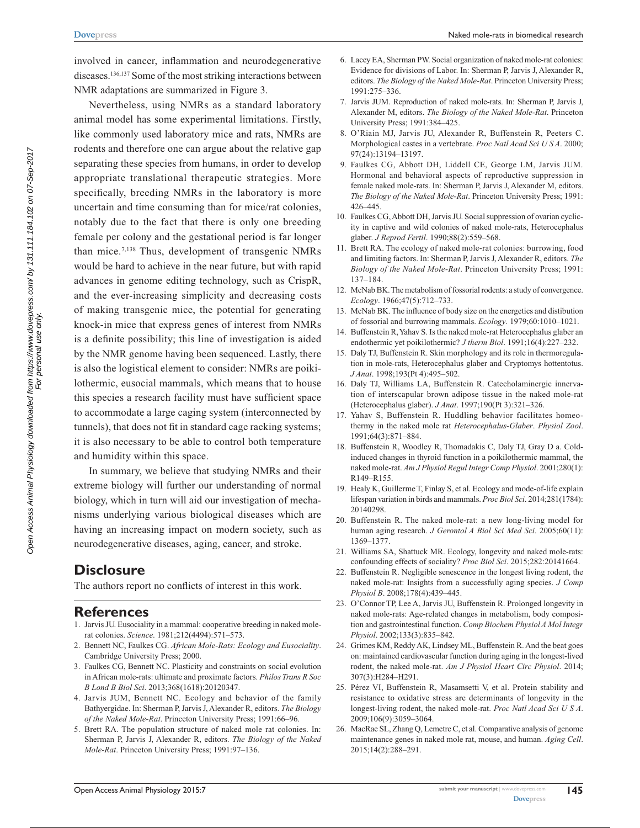involved in cancer, inflammation and neurodegenerative diseases.136,137 Some of the most striking interactions between NMR adaptations are summarized in Figure 3.

Nevertheless, using NMRs as a standard laboratory animal model has some experimental limitations. Firstly, like commonly used laboratory mice and rats, NMRs are rodents and therefore one can argue about the relative gap separating these species from humans, in order to develop appropriate translational therapeutic strategies. More specifically, breeding NMRs in the laboratory is more uncertain and time consuming than for mice/rat colonies, notably due to the fact that there is only one breeding female per colony and the gestational period is far longer than mice.7,138 Thus, development of transgenic NMRs would be hard to achieve in the near future, but with rapid advances in genome editing technology, such as CrispR, and the ever-increasing simplicity and decreasing costs of making transgenic mice, the potential for generating knock-in mice that express genes of interest from NMRs is a definite possibility; this line of investigation is aided by the NMR genome having been sequenced. Lastly, there is also the logistical element to consider: NMRs are poikilothermic, eusocial mammals, which means that to house this species a research facility must have sufficient space to accommodate a large caging system (interconnected by tunnels), that does not fit in standard cage racking systems; it is also necessary to be able to control both temperature and humidity within this space.

In summary, we believe that studying NMRs and their extreme biology will further our understanding of normal biology, which in turn will aid our investigation of mechanisms underlying various biological diseases which are having an increasing impact on modern society, such as neurodegenerative diseases, aging, cancer, and stroke.

## **Disclosure**

The authors report no conflicts of interest in this work.

## **References**

- 1. Jarvis JU. Eusociality in a mammal: cooperative breeding in naked molerat colonies. *Science*. 1981;212(4494):571–573.
- 2. Bennett NC, Faulkes CG. *African Mole-Rats: Ecology and Eusociality*. Cambridge University Press; 2000.
- 3. Faulkes CG, Bennett NC. Plasticity and constraints on social evolution in African mole-rats: ultimate and proximate factors. *Philos Trans R Soc B Lond B Biol Sci*. 2013;368(1618):20120347.
- 4. Jarvis JUM, Bennett NC. Ecology and behavior of the family Bathyergidae. In: Sherman P, Jarvis J, Alexander R, editors. *The Biology of the Naked Mole-Rat*. Princeton University Press; 1991:66–96.
- 5. Brett RA. The population structure of naked mole rat colonies. In: Sherman P, Jarvis J, Alexander R, editors. *The Biology of the Naked Mole-Rat*. Princeton University Press; 1991:97–136.

6. Lacey EA, Sherman PW. Social organization of naked mole-rat colonies:

Naked mole-rats in biomedical research

- Evidence for divisions of Labor. In: Sherman P, Jarvis J, Alexander R, editors. *The Biology of the Naked Mole-Rat*. Princeton University Press; 1991:275–336.
- 7. Jarvis JUM. Reproduction of naked mole-rats. In: Sherman P, Jarvis J, Alexander M, editors. *The Biology of the Naked Mole-Rat*. Princeton University Press; 1991:384–425.
- 8. O'Riain MJ, Jarvis JU, Alexander R, Buffenstein R, Peeters C. Morphological castes in a vertebrate. *Proc Natl Acad Sci U S A*. 2000; 97(24):13194–13197.
- 9. Faulkes CG, Abbott DH, Liddell CE, George LM, Jarvis JUM. Hormonal and behavioral aspects of reproductive suppression in female naked mole-rats. In: Sherman P, Jarvis J, Alexander M, editors. *The Biology of the Naked Mole-Rat*. Princeton University Press; 1991: 426–445.
- 10. Faulkes CG, Abbott DH, Jarvis JU. Social suppression of ovarian cyclicity in captive and wild colonies of naked mole-rats, Heterocephalus glaber. *J Reprod Fertil*. 1990;88(2):559–568.
- 11. Brett RA. The ecology of naked mole-rat colonies: burrowing, food and limiting factors. In: Sherman P, Jarvis J, Alexander R, editors. *The Biology of the Naked Mole-Rat*. Princeton University Press; 1991: 137–184.
- 12. McNab BK. The metabolism of fossorial rodents: a study of convergence. *Ecology*. 1966;47(5):712–733.
- 13. McNab BK. The influence of body size on the energetics and distibution of fossorial and burrowing mammals. *Ecology*. 1979;60:1010–1021.
- 14. Buffenstein R, Yahav S. Is the naked mole-rat Heterocephalus glaber an endothermic yet poikilothermic? *J therm Biol*. 1991;16(4):227–232.
- 15. Daly TJ, Buffenstein R. Skin morphology and its role in thermoregulation in mole-rats, Heterocephalus glaber and Cryptomys hottentotus. *J Anat*. 1998;193(Pt 4):495–502.
- 16. Daly TJ, Williams LA, Buffenstein R. Catecholaminergic innervation of interscapular brown adipose tissue in the naked mole-rat (Heterocephalus glaber). *J Anat*. 1997;190(Pt 3):321–326.
- 17. Yahav S, Buffenstein R. Huddling behavior facilitates homeothermy in the naked mole rat *Heterocephalus-Glaber*. *Physiol Zool*. 1991;64(3):871–884.
- 18. Buffenstein R, Woodley R, Thomadakis C, Daly TJ, Gray D a. Coldinduced changes in thyroid function in a poikilothermic mammal, the naked mole-rat. *Am J Physiol Regul Integr Comp Physiol*. 2001;280(1): R149–R155.
- 19. Healy K, Guillerme T, Finlay S, et al. Ecology and mode-of-life explain lifespan variation in birds and mammals. *Proc Biol Sci*. 2014;281(1784): 20140298.
- 20. Buffenstein R. The naked mole-rat: a new long-living model for human aging research. *J Gerontol A Biol Sci Med Sci*. 2005;60(11): 1369–1377.
- 21. Williams SA, Shattuck MR. Ecology, longevity and naked mole-rats: confounding effects of sociality? *Proc Biol Sci*. 2015;282:20141664.
- 22. Buffenstein R. Negligible senescence in the longest living rodent, the naked mole-rat: Insights from a successfully aging species. *J Comp Physiol B*. 2008;178(4):439–445.
- 23. O'Connor TP, Lee A, Jarvis JU, Buffenstein R. Prolonged longevity in naked mole-rats: Age-related changes in metabolism, body composition and gastrointestinal function. *Comp Biochem Physiol A Mol Integr Physiol*. 2002;133(3):835–842.
- 24. Grimes KM, Reddy AK, Lindsey ML, Buffenstein R. And the beat goes on: maintained cardiovascular function during aging in the longest-lived rodent, the naked mole-rat. *Am J Physiol Heart Circ Physiol*. 2014; 307(3):H284–H291.
- 25. Pérez VI, Buffenstein R, Masamsetti V, et al. Protein stability and resistance to oxidative stress are determinants of longevity in the longest-living rodent, the naked mole-rat. *Proc Natl Acad Sci U S A*. 2009;106(9):3059–3064.
- 26. MacRae SL, Zhang Q, Lemetre C, et al. Comparative analysis of genome maintenance genes in naked mole rat, mouse, and human. *Aging Cell*. 2015;14(2):288–291.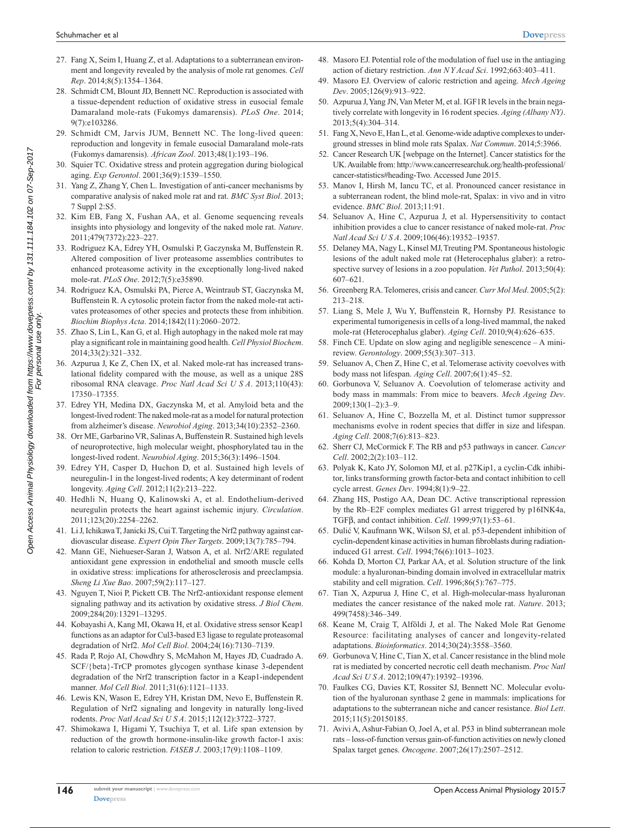- 27. Fang X, Seim I, Huang Z, et al. Adaptations to a subterranean environment and longevity revealed by the analysis of mole rat genomes. *Cell Rep*. 2014;8(5):1354–1364.
- 28. Schmidt CM, Blount JD, Bennett NC. Reproduction is associated with a tissue-dependent reduction of oxidative stress in eusocial female Damaraland mole-rats (Fukomys damarensis). *PLoS One*. 2014; 9(7):e103286.
- 29. Schmidt CM, Jarvis JUM, Bennett NC. The long-lived queen: reproduction and longevity in female eusocial Damaraland mole-rats (Fukomys damarensis). *African Zool*. 2013;48(1):193–196.
- 30. Squier TC. Oxidative stress and protein aggregation during biological aging. *Exp Gerontol*. 2001;36(9):1539–1550.
- 31. Yang Z, Zhang Y, Chen L. Investigation of anti-cancer mechanisms by comparative analysis of naked mole rat and rat. *BMC Syst Biol*. 2013; 7 Suppl 2:S5.
- 32. Kim EB, Fang X, Fushan AA, et al. Genome sequencing reveals insights into physiology and longevity of the naked mole rat. *Nature*. 2011;479(7372):223–227.
- 33. Rodriguez KA, Edrey YH, Osmulski P, Gaczynska M, Buffenstein R. Altered composition of liver proteasome assemblies contributes to enhanced proteasome activity in the exceptionally long-lived naked mole-rat. *PLoS One*. 2012;7(5):e35890.
- 34. Rodriguez KA, Osmulski PA, Pierce A, Weintraub ST, Gaczynska M, Buffenstein R. A cytosolic protein factor from the naked mole-rat activates proteasomes of other species and protects these from inhibition. *Biochim Biophys Acta*. 2014;1842(11):2060–2072.
- 35. Zhao S, Lin L, Kan G, et al. High autophagy in the naked mole rat may play a significant role in maintaining good health. *Cell Physiol Biochem*. 2014;33(2):321–332.
- 36. Azpurua J, Ke Z, Chen IX, et al. Naked mole-rat has increased translational fidelity compared with the mouse, as well as a unique 28S ribosomal RNA cleavage. *Proc Natl Acad Sci U S A*. 2013;110(43): 17350–17355.
- 37. Edrey YH, Medina DX, Gaczynska M, et al. Amyloid beta and the longest-lived rodent: The naked mole-rat as a model for natural protection from alzheimer's disease. *Neurobiol Aging*. 2013;34(10):2352–2360.
- 38. Orr ME, Garbarino VR, Salinas A, Buffenstein R. Sustained high levels of neuroprotective, high molecular weight, phosphorylated tau in the longest-lived rodent. *Neurobiol Aging*. 2015;36(3):1496–1504.
- 39. Edrey YH, Casper D, Huchon D, et al. Sustained high levels of neuregulin-1 in the longest-lived rodents; A key determinant of rodent longevity. *Aging Cell*. 2012;11(2):213–222.
- 40. Hedhli N, Huang Q, Kalinowski A, et al. Endothelium-derived neuregulin protects the heart against ischemic injury. *Circulation*. 2011;123(20):2254–2262.
- 41. Li J, Ichikawa T, Janicki JS, Cui T. Targeting the Nrf2 pathway against cardiovascular disease. *Expert Opin Ther Targets*. 2009;13(7):785–794.
- 42. Mann GE, Niehueser-Saran J, Watson A, et al. Nrf2/ARE regulated antioxidant gene expression in endothelial and smooth muscle cells in oxidative stress: implications for atherosclerosis and preeclampsia. *Sheng Li Xue Bao*. 2007;59(2):117–127.
- 43. Nguyen T, Nioi P, Pickett CB. The Nrf2-antioxidant response element signaling pathway and its activation by oxidative stress. *J Biol Chem*. 2009;284(20):13291–13295.
- 44. Kobayashi A, Kang MI, Okawa H, et al. Oxidative stress sensor Keap1 functions as an adaptor for Cul3-based E3 ligase to regulate proteasomal degradation of Nrf2. *Mol Cell Biol*. 2004;24(16):7130–7139.
- 45. Rada P, Rojo AI, Chowdhry S, McMahon M, Hayes JD, Cuadrado A. SCF/{beta}-TrCP promotes glycogen synthase kinase 3-dependent degradation of the Nrf2 transcription factor in a Keap1-independent manner. *Mol Cell Biol*. 2011;31(6):1121–1133.
- 46. Lewis KN, Wason E, Edrey YH, Kristan DM, Nevo E, Buffenstein R. Regulation of Nrf2 signaling and longevity in naturally long-lived rodents. *Proc Natl Acad Sci U S A*. 2015;112(12):3722–3727.
- 47. Shimokawa I, Higami Y, Tsuchiya T, et al. Life span extension by reduction of the growth hormone-insulin-like growth factor-1 axis: relation to caloric restriction. *FASEB J*. 2003;17(9):1108–1109.
- 48. Masoro EJ. Potential role of the modulation of fuel use in the antiaging action of dietary restriction. *Ann N Y Acad Sci*. 1992;663:403–411.
- 49. Masoro EJ. Overview of caloric restriction and ageing. *Mech Ageing Dev*. 2005;126(9):913–922.
- 50. Azpurua J, Yang JN, Van Meter M, et al. IGF1R levels in the brain negatively correlate with longevity in 16 rodent species. *Aging (Albany NY)*. 2013;5(4):304–314.
- 51. Fang X, Nevo E, Han L, et al. Genome-wide adaptive complexes to underground stresses in blind mole rats Spalax. *Nat Commun*. 2014;5:3966.
- 52. Cancer Research UK [webpage on the Internet]. Cancer statistics for the UK. Available from: [http://www.cancerresearchuk.org/health-professional/](http://www.cancerresearchuk.org/health-professional/cancer-statistics#heading-Two) [cancer-statistics#heading-Two](http://www.cancerresearchuk.org/health-professional/cancer-statistics#heading-Two). Accessed June 2015.
- 53. Manov I, Hirsh M, Iancu TC, et al. Pronounced cancer resistance in a subterranean rodent, the blind mole-rat, Spalax: in vivo and in vitro evidence. *BMC Biol*. 2013;11:91.
- 54. Seluanov A, Hine C, Azpurua J, et al. Hypersensitivity to contact inhibition provides a clue to cancer resistance of naked mole-rat. *Proc Natl Acad Sci U S A*. 2009;106(46):19352–19357.
- 55. Delaney MA, Nagy L, Kinsel MJ, Treuting PM. Spontaneous histologic lesions of the adult naked mole rat (Heterocephalus glaber): a retrospective survey of lesions in a zoo population. *Vet Pathol*. 2013;50(4): 607–621.
- 56. Greenberg RA. Telomeres, crisis and cancer. *Curr Mol Med*. 2005;5(2): 213–218.
- 57. Liang S, Mele J, Wu Y, Buffenstein R, Hornsby PJ. Resistance to experimental tumorigenesis in cells of a long-lived mammal, the naked mole-rat (Heterocephalus glaber). *Aging Cell*. 2010;9(4):626–635.
- 58. Finch CE. Update on slow aging and negligible senescence A minireview. *Gerontology*. 2009;55(3):307–313.
- 59. Seluanov A, Chen Z, Hine C, et al. Telomerase activity coevolves with body mass not lifespan. *Aging Cell*. 2007;6(1):45–52.
- 60. Gorbunova V, Seluanov A. Coevolution of telomerase activity and body mass in mammals: From mice to beavers. *Mech Ageing Dev*. 2009;130(1–2):3–9.
- 61. Seluanov A, Hine C, Bozzella M, et al. Distinct tumor suppressor mechanisms evolve in rodent species that differ in size and lifespan. *Aging Cell*. 2008;7(6):813–823.
- 62. Sherr CJ, McCormick F. The RB and p53 pathways in cancer. *Cancer Cell*. 2002;2(2):103–112.
- 63. Polyak K, Kato JY, Solomon MJ, et al. p27Kip1, a cyclin-Cdk inhibitor, links transforming growth factor-beta and contact inhibition to cell cycle arrest. *Genes Dev*. 1994;8(1):9–22.
- 64. Zhang HS, Postigo AA, Dean DC. Active transcriptional repression by the Rb–E2F complex mediates G1 arrest triggered by p16INK4a, TGFβ, and contact inhibition. *Cell*. 1999;97(1):53–61.
- 65. Dulić V, Kaufmann WK, Wilson SJ, et al. p53-dependent inhibition of cyclin-dependent kinase activities in human fibroblasts during radiationinduced G1 arrest. *Cell*. 1994;76(6):1013–1023.
- 66. Kohda D, Morton CJ, Parkar AA, et al. Solution structure of the link module: a hyaluronan-binding domain involved in extracellular matrix stability and cell migration. *Cell*. 1996;86(5):767–775.
- 67. Tian X, Azpurua J, Hine C, et al. High-molecular-mass hyaluronan mediates the cancer resistance of the naked mole rat. *Nature*. 2013; 499(7458):346–349.
- 68. Keane M, Craig T, Alföldi J, et al. The Naked Mole Rat Genome Resource: facilitating analyses of cancer and longevity-related adaptations. *Bioinformatics*. 2014;30(24):3558–3560.
- 69. Gorbunova V, Hine C, Tian X, et al. Cancer resistance in the blind mole rat is mediated by concerted necrotic cell death mechanism. *Proc Natl Acad Sci U S A*. 2012;109(47):19392–19396.
- 70. Faulkes CG, Davies KT, Rossiter SJ, Bennett NC. Molecular evolution of the hyaluronan synthase 2 gene in mammals: implications for adaptations to the subterranean niche and cancer resistance. *Biol Lett*. 2015;11(5):20150185.
- 71. Avivi A, Ashur-Fabian O, Joel A, et al. P53 in blind subterranean mole rats – loss-of-function versus gain-of-function activities on newly cloned Spalax target genes. *Oncogene*. 2007;26(17):2507–2512.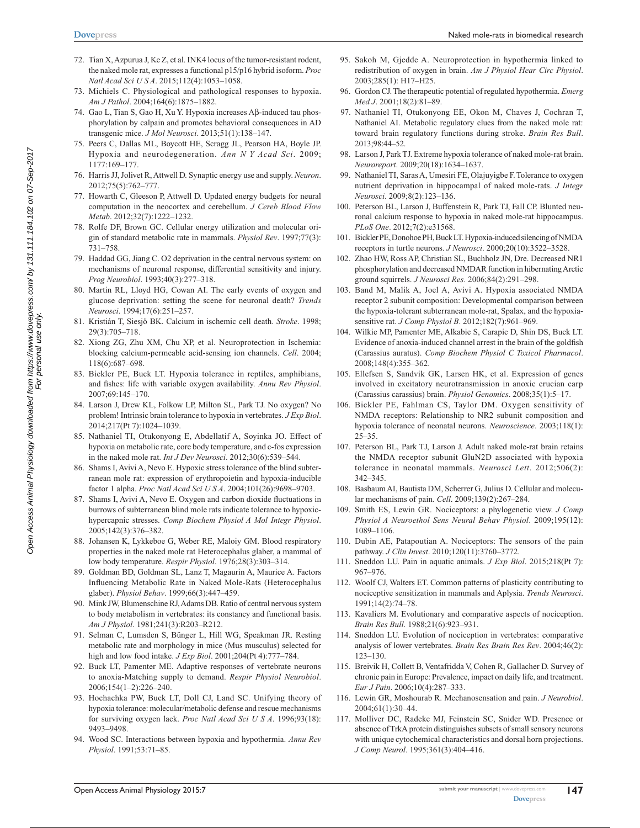- 72. Tian X, Azpurua J, Ke Z, et al. INK4 locus of the tumor-resistant rodent, the naked mole rat, expresses a functional p15/p16 hybrid isoform. *Proc Natl Acad Sci U S A*. 2015;112(4):1053–1058.
- 73. Michiels C. Physiological and pathological responses to hypoxia. *Am J Pathol*. 2004;164(6):1875–1882.
- 74. Gao L, Tian S, Gao H, Xu Y. Hypoxia increases Aβ-induced tau phosphorylation by calpain and promotes behavioral consequences in AD transgenic mice. *J Mol Neurosci*. 2013;51(1):138–147.
- 75. Peers C, Dallas ML, Boycott HE, Scragg JL, Pearson HA, Boyle JP. Hypoxia and neurodegeneration. *Ann N Y Acad Sci*. 2009; 1177:169–177.
- 76. Harris JJ, Jolivet R, Attwell D. Synaptic energy use and supply. *Neuron*. 2012;75(5):762–777.
- 77. Howarth C, Gleeson P, Attwell D. Updated energy budgets for neural computation in the neocortex and cerebellum. *J Cereb Blood Flow Metab*. 2012;32(7):1222–1232.
- 78. Rolfe DF, Brown GC. Cellular energy utilization and molecular origin of standard metabolic rate in mammals. *Physiol Rev*. 1997;77(3): 731–758.
- 79. Haddad GG, Jiang C. O2 deprivation in the central nervous system: on mechanisms of neuronal response, differential sensitivity and injury. *Prog Neurobiol*. 1993;40(3):277–318.
- 80. Martin RL, Lloyd HG, Cowan AI. The early events of oxygen and glucose deprivation: setting the scene for neuronal death? *Trends Neurosci*. 1994;17(6):251–257.
- 81. Kristián T, Siesjö BK. Calcium in ischemic cell death. *Stroke*. 1998; 29(3):705–718.
- 82. Xiong ZG, Zhu XM, Chu XP, et al. Neuroprotection in Ischemia: blocking calcium-permeable acid-sensing ion channels. *Cell*. 2004; 118(6):687–698.
- 83. Bickler PE, Buck LT. Hypoxia tolerance in reptiles, amphibians, and fishes: life with variable oxygen availability. *Annu Rev Physiol*. 2007;69:145–170.
- 84. Larson J, Drew KL, Folkow LP, Milton SL, Park TJ. No oxygen? No problem! Intrinsic brain tolerance to hypoxia in vertebrates. *J Exp Biol*. 2014;217(Pt 7):1024–1039.
- 85. Nathaniel TI, Otukonyong E, Abdellatif A, Soyinka JO. Effect of hypoxia on metabolic rate, core body temperature, and c-fos expression in the naked mole rat. *Int J Dev Neurosci*. 2012;30(6):539–544.
- 86. Shams I, Avivi A, Nevo E. Hypoxic stress tolerance of the blind subterranean mole rat: expression of erythropoietin and hypoxia-inducible factor 1 alpha. *Proc Natl Acad Sci U S A*. 2004;101(26):9698–9703.
- 87. Shams I, Avivi A, Nevo E. Oxygen and carbon dioxide fluctuations in burrows of subterranean blind mole rats indicate tolerance to hypoxichypercapnic stresses. *Comp Biochem Physiol A Mol Integr Physiol*. 2005;142(3):376–382.
- 88. Johansen K, Lykkeboe G, Weber RE, Maloiy GM. Blood respiratory properties in the naked mole rat Heterocephalus glaber, a mammal of low body temperature. *Respir Physiol*. 1976;28(3):303–314.
- 89. Goldman BD, Goldman SL, Lanz T, Magaurin A, Maurice A. Factors Influencing Metabolic Rate in Naked Mole-Rats (Heterocephalus glaber). *Physiol Behav*. 1999;66(3):447–459.
- 90. Mink JW, Blumenschine RJ, Adams DB. Ratio of central nervous system to body metabolism in vertebrates: its constancy and functional basis. *Am J Physiol*. 1981;241(3):R203–R212.
- 91. Selman C, Lumsden S, Bünger L, Hill WG, Speakman JR. Resting metabolic rate and morphology in mice (Mus musculus) selected for high and low food intake. *J Exp Biol*. 2001;204(Pt 4):777–784.
- 92. Buck LT, Pamenter ME. Adaptive responses of vertebrate neurons to anoxia-Matching supply to demand. *Respir Physiol Neurobiol*. 2006;154(1–2):226–240.
- 93. Hochachka PW, Buck LT, Doll CJ, Land SC. Unifying theory of hypoxia tolerance: molecular/metabolic defense and rescue mechanisms for surviving oxygen lack. *Proc Natl Acad Sci U S A*. 1996;93(18): 9493–9498.
- 94. Wood SC. Interactions between hypoxia and hypothermia. *Annu Rev Physiol*. 1991;53:71–85.
- 95. Sakoh M, Gjedde A. Neuroprotection in hypothermia linked to redistribution of oxygen in brain. *Am J Physiol Hear Circ Physiol*. 2003;285(1): H17–H25.
- 96. Gordon CJ. The therapeutic potential of regulated hypothermia. *Emerg Med J*. 2001;18(2):81–89.
- 97. Nathaniel TI, Otukonyong EE, Okon M, Chaves J, Cochran T, Nathaniel AI. Metabolic regulatory clues from the naked mole rat: toward brain regulatory functions during stroke. *Brain Res Bull*. 2013;98:44–52.
- 98. Larson J, Park TJ. Extreme hypoxia tolerance of naked mole-rat brain. *Neuroreport*. 2009;20(18):1634–1637.
- 99. Nathaniel TI, Saras A, Umesiri FE, Olajuyigbe F. Tolerance to oxygen nutrient deprivation in hippocampal of naked mole-rats. *J Integr Neurosci*. 2009;8(2):123–136.
- 100. Peterson BL, Larson J, Buffenstein R, Park TJ, Fall CP. Blunted neuronal calcium response to hypoxia in naked mole-rat hippocampus. *PLoS One*. 2012;7(2):e31568.
- 101. Bickler PE, Donohoe PH, Buck LT. Hypoxia-induced silencing of NMDA receptors in turtle neurons. *J Neurosci*. 2000;20(10):3522–3528.
- 102. Zhao HW, Ross AP, Christian SL, Buchholz JN, Dre. Decreased NR1 phosphorylation and decreased NMDAR function in hibernating Arctic ground squirrels. *J Neurosci Res*. 2006;84(2):291–298.
- 103. Band M, Malik A, Joel A, Avivi A. Hypoxia associated NMDA receptor 2 subunit composition: Developmental comparison between the hypoxia-tolerant subterranean mole-rat, Spalax, and the hypoxiasensitive rat. *J Comp Physiol B*. 2012;182(7):961–969.
- 104. Wilkie MP, Pamenter ME, Alkabie S, Carapic D, Shin DS, Buck LT. Evidence of anoxia-induced channel arrest in the brain of the goldfish (Carassius auratus). *Comp Biochem Physiol C Toxicol Pharmacol*. 2008;148(4):355–362.
- 105. Ellefsen S, Sandvik GK, Larsen HK, et al. Expression of genes involved in excitatory neurotransmission in anoxic crucian carp (Carassius carassius) brain. *Physiol Genomics*. 2008;35(1):5–17.
- 106. Bickler PE, Fahlman CS, Taylor DM. Oxygen sensitivity of NMDA receptors: Relationship to NR2 subunit composition and hypoxia tolerance of neonatal neurons. *Neuroscience*. 2003;118(1): 25–35.
- 107. Peterson BL, Park TJ, Larson J. Adult naked mole-rat brain retains the NMDA receptor subunit GluN2D associated with hypoxia tolerance in neonatal mammals. *Neurosci Lett*. 2012;506(2): 342–345.
- 108. Basbaum AI, Bautista DM, Scherrer G, Julius D. Cellular and molecular mechanisms of pain. *Cell*. 2009;139(2):267–284.
- 109. Smith ES, Lewin GR. Nociceptors: a phylogenetic view. *J Comp Physiol A Neuroethol Sens Neural Behav Physiol*. 2009;195(12): 1089–1106.
- 110. Dubin AE, Patapoutian A. Nociceptors: The sensors of the pain pathway. *J Clin Invest*. 2010;120(11):3760–3772.
- 111. Sneddon LU. Pain in aquatic animals. *J Exp Biol*. 2015;218(Pt 7): 967–976.
- 112. Woolf CJ, Walters ET. Common patterns of plasticity contributing to nociceptive sensitization in mammals and Aplysia. *Trends Neurosci*. 1991;14(2):74–78.
- 113. Kavaliers M. Evolutionary and comparative aspects of nociception. *Brain Res Bull*. 1988;21(6):923–931.
- 114. Sneddon LU. Evolution of nociception in vertebrates: comparative analysis of lower vertebrates. *Brain Res Brain Res Rev*. 2004;46(2): 123–130.
- 115. Breivik H, Collett B, Ventafridda V, Cohen R, Gallacher D. Survey of chronic pain in Europe: Prevalence, impact on daily life, and treatment. *Eur J Pain*. 2006;10(4):287–333.
- 116. Lewin GR, Moshourab R. Mechanosensation and pain. *J Neurobiol*. 2004;61(1):30–44.
- 117. Molliver DC, Radeke MJ, Feinstein SC, Snider WD. Presence or absence of TrkA protein distinguishes subsets of small sensory neurons with unique cytochemical characteristics and dorsal horn projections. *J Comp Neurol*. 1995;361(3):404–416.

**147**

Open Access Animal Physiology downloaded from https://www.dovepress.com/ by 131.111.184.102 on 07-Sep-2017<br>For personal use only Open Access Animal Physiology downloaded from https://www.dovepress.com/ by 131.111.184.102 on 07-Sep-2017 For personal use only.